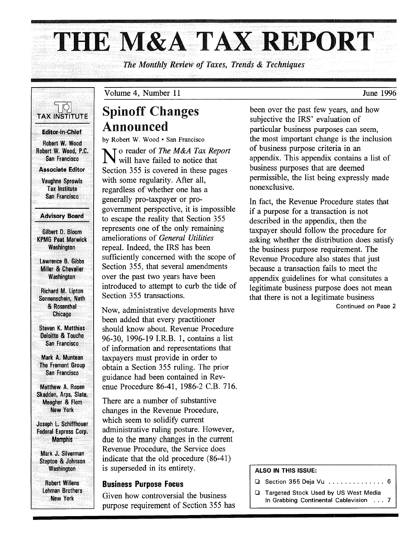# **THE** M&A TAX **REPORT**

*The Monthly Review of Taxes, Trends* & *Techniques* 



Volume 4, Number 11

## Spinoff Changes Announced

by Robert W. Wood· San Francisco

No reader of *The M&A Tax Report*<br>will have failed to notice that Section 355 is covered in these pages with some regularity. After all, regardless of whether one has a generally pro-taxpayer or progovernment perspective, it is impossible to escape the reality that Section 355 represents one of the only remaining ameliorations of *General Utilities*  repeal. Indeed, the IRS has been sufficiently concerned with the scope of Section 355, that several amendments over the past two years have been introduced to attempt to curb the tide of Section 355 transactions.

Now, administrative developments have been added that every practitioner should know about. Revenue Procedure 96-30, 1996-19 LR.B. 1, contains a list of information and representations that taxpayers must provide in order to obtain a Section 355 ruling. The prior guidance had been contained in Revenue Procedure 86-41, 1986-2 C.B. 716.

There are a number of substantive changes in the Revenue Procedure, which seem to solidify current administrative ruling posture. However, due to the many changes in the current Revenue Procedure, the Service does indicate that the old procedure (86-41) is superseded in its entirety.

#### Business Purpose Focus

Given how controversial the business purpose requirement of Section 355 has been over the past few years, and how subjective the IRS' evaluation of particular business purposes can seem, the most important change is the inclusion of business purpose criteria in an appendix. This appendix contains a list of business purposes that are deemed permissible, the list being expressly made nonexclusive.

In fact, the Revenue Procedure states that if a purpose for a transaction is not described in the appendix, then the taxpayer should follow the procedure for asking whether the distribution does satisfy the business purpose requirement. The Revenue Procedure also states that just because a transaction fails to meet the appendix guidelines for what consitutes a legitimate business purpose does not mean that there is not a legitimate business

Continued on Page 2

#### ALSO IN THIS ISSUE:

- o Section 355 Deja Vu .............. 6
- **Q** Targeted Stock Used by US West Media In Grabbing Continental Cablevision ... 7

June 1996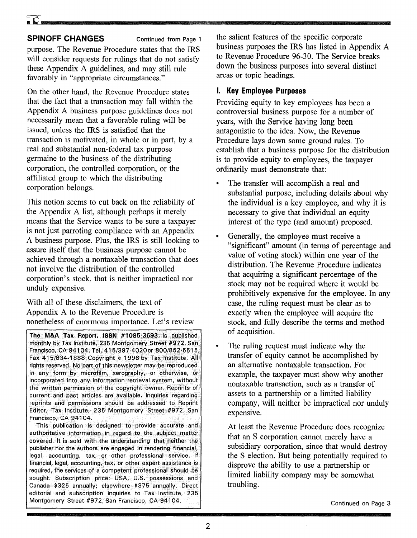purpose. The Revenue Procedure states that the IRS will consider requests for rulings that do not satisfy these Appendix A guidelines, and may still rule favorably in "appropriate circumstances."

On the other hand, the Revenue Procedure states that the fact that a transaction may fall within the Appendix A business purpose guidelines does not necessarily mean that a favorable ruling will be issued, unless the IRS is satisfied that the transaction is motivated, in whole or in part, by a real and substantial non-federal tax purpose germaine to the business of the distributing corporation, the controlled corporation, or the affiliated group to which the distributing corporation belongs.

This notion seems to cut back on the reliability of the Appendix A list, although perhaps it merely means that the Service wants to be sure a taxpayer is not just parroting compliance with an Appendix A business purpose. Plus, the IRS is still looking to assure itself that the business purpose cannot be achieved through a nontaxable transaction that does not involve the distribution of the controlled corporation's stock, that is neither impractical nor unduly expensive.

With all of these disclaimers, the text of Appendix A to the Revenue Procedure is nonetheless of enormous importance. Let's review

The M&A Tax Report, ISSN #1085-3693, is published monthly by Tax Institute, 235 Montgomery Street #972, San Francisco, CA 94104, Tel. 415/397-40200r 800/852-5515, Fax 415/834-1888. Copyright © 1996 by Tax Institute. All rights reserved. No part of this newsletter may be reproduced in any form by microfilm, xerography, or otherwise, or incorporated into any information retrieval system, without the written permission of the copyright owner. Reprints of current and past articles are available. Inquiries regarding reprints and permissions should be addressed to Reprint Editor, Tax Institute, 235 Montgomery Street #972, San Francisco, CA 94104.

This publication is designed to provide accurate and authoritative information in regard to the subject matter covered. It is sold with the understanding that neither the publisher nor the authors are engaged in rendering financial, legal, accounting, tax, or other professional service. If financial, legal, accounting, tax, or other expert assistance is required, the services of a competent professional should be sought. Subscription price: USA, U.S. possessions and Canada-\$325 annually; elsewhere-\$375 annually. Direct editorial and subscription inquiries to Tax Institute, 235 Montgomery Street #972, San Francisco, CA 94104.

the salient features of the specific corporate business purposes the IRS has listed in Appendix A to Revenue Procedure 96-30. The Service breaks down the business purposes into several distinct areas or topic headings.

#### **I. Key Employee Purposes**

Providing equity to key employees has been a controversial business purpose for a number of years, with the Service having long been antagonistic to the idea. Now, the Revenue Procedure lays down some ground rules. To establish that a business purpose for the distribution is to provide equity to employees, the taxpayer ordinarily must demonstrate that:

- The transfer will accomplish a real and substantial purpose, including details about why the individual is a key employee, and why it is necessary to give that individual an equity interest of the type (and amount) proposed.
- Generally, the employee must receive a "significant" amount (in terms of percentage and value of voting stock) within one year of the distribution. The Revenue Procedure indicates that acquiring a significant percentage of the stock may not be required where it would be prohibitively expensive for the employee. In any case, the ruling request must be clear as to exactly when the employee will acquire the stock, and fully describe the terms and method of acquisition.
- The ruling request must indicate why the transfer of equity cannot be accomplished by an alternative nontaxable transaction. For example, the taxpayer must show why another nontaxable transaction, such as a transfer of assets to a partnership or a limited liability company, will neither be impractical nor unduly expensive.

At least the Revenue Procedure does recognize that an S corporation cannot merely have a subsidiary corporation, since that would destroy the S election. But being potentially required to disprove the ability to use a partnership or limited liability company may be somewhat troubling.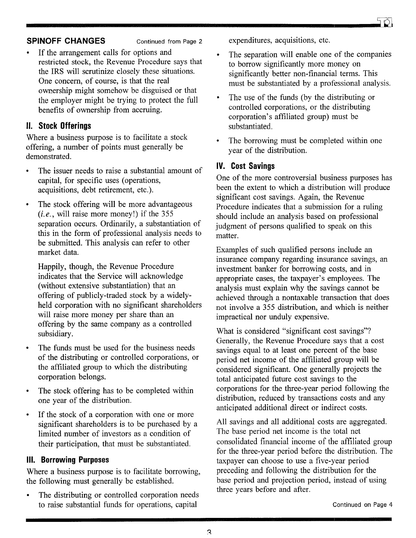- 
- If the arrangement calls for options and restricted stock, the Revenue Procedure says that the IRS will scrutinize closely these situations. One concern, of course, is that the real ownership might somehow be disguised or that the employer might be trying to protect the full benefits of ownership from accruing.

#### **II. Stock Offerings**

Where a business purpose is to facilitate a stock offering, a number of points must generally be demonstrated.

- The issuer needs to raise a substantial amount of capital, for specific uses (operations, acquisitions, debt retirement, etc.).
- The stock offering will be more advantageous *(i.e.,* will raise more money!) if the 355 separation occurs. Ordinarily, a substantiation of this in the form of professional analysis needs to be submitted. This analysis can refer to other market data.

Happily, though, the Revenue Procedure indicates that the Service will acknowledge (without extensive substantiation) that an offering of publicly-traded stock by a widelyheld corporation with no significant shareholders will raise more money per share than an offering by the same company as a controlled subsidiary.

- The funds must be used for the business needs of the distributing or controlled corporations, or the affiliated group to which the distributing corporation belongs.
- The stock offering has to be completed within one year of the distribution.
- If the stock of a corporation with one or more significant shareholders is to be purchased by a limited number of investors as a condition of their participation, that must be substantiated.

#### **III. Borrowing Purposes**

Where a business purpose is to facilitate borrowing, the following must generally be established.

The distributing or controlled corporation needs to raise substantial funds for operations, capital

expenditures, acquisitions, etc.

- The separation will enable one of the companies to borrow significantly more money on significantly better non-financial terms. This must be substantiated by a professional analysis.
- The use of the funds (by the distributing or  $\bullet$ controlled corporations, or the distributing corporation's affiliated group) must be substantiated.
- The borrowing must be completed within one year of the distribution.

#### **IV. Cost Savings**

One of the more controversial business purposes has been the extent to which a distribution will produce significant cost savings. Again, the Revenue Procedure indicates that a submission for a ruling should include an analysis based on professional judgment of persons qualified to speak on this matter.

Examples of such qualified persons include an insurance company regarding insurance savings, an investment banker for borrowing costs, and in appropriate cases, the taxpayer's employees. The analysis must explain why the savings cannot be achieved through a nontaxable transaction that does not involve a 355 distribution, and which is neither impractical nor unduly expensive.

What is considered "significant cost savings"? Generally, the Revenue Procedure says that a cost savings equal to at least one percent of the base period net income of the affiliated group will be considered significant. One generally projects the total anticipated future cost savings to the corporations for the three-year period following the distribution, reduced by transactions costs and any anticipated additional direct or indirect costs.

All savings and all additional costs are aggregated. The base period net income is the total net consolidated financial income of the affiliated group for the three-year period before the distribution. The taxpayer can choose to use a five-year period preceding and following the distribution for the base period and projection period, instead of using three years before and after.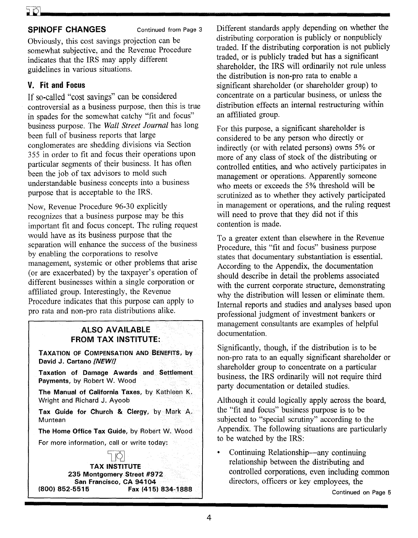Obviously, this cost savings projection can be somewhat subjective, and the Revenue Procedure indicates that the IRS may apply different guidelines in various situations.

## **V. Fit and Focus**

If so-called "cost savings" can be considered controversial as a business purpose, then this is true in spades for the somewhat catchy "fit and focus" business purpose. The *Wall Street Journal* has long been full of business reports that large conglomerates are shedding divisions via Section 355 in order to fit and focus their operations upon particular segments of their business. It has often been the job of tax advisors to mold such understandable business concepts into a business purpose that is acceptable to the IRS.

Now, Revenue Procedure 96-30 explicitly recognizes that a business purpose may be this important fit and focus concept. The ruling request would have as its business purpose that the separation will enhance the success of the business by enabling the corporations to resolve management, systemic or other problems that arise (or are exacerbated) by the taxpayer's operation of different businesses within a single corporation or affiliated group. Interestingly, the Revenue Procedure indicates that this purpose can apply to pro rata and non-pro rata distributions alike.

#### **ALSO AVAILABLE FROM TAX INSTITUTE:**

**TAXATION OF COMPENSATION AND BENEFITS, by David J. Cartano** *[NEW!]* 

**Taxation of Damage Awards and Settlement Payments,** by Robert W. Wood

**The Manual of California Taxes,** by Kathleen K. Wright and Richard J. Ayoob

**Tax Guide for Church & Clergy,** by Mark A. **Muntean** 

**The Home Office Tax Guide,** by Robert W. Wood

For more information, call or write today:

7 PI **TAX INSTITUTE 235 Montgomery Street #972 San Francisco, CA 94104**<br>852-5515 **Fax (415 (800) 852-5515 Fax (415) 834-1888**  Different standards apply depending on whether the distributing corporation is publicly or nonpublicly traded. If the distributing corporation is not publicly traded, or is publicly traded but has a significant shareholder, the IRS will ordinarily not rule unless the distribution is non-pro rata to enable a significant shareholder (or shareholder group) to concentrate on a particular business, or unless the distribution effects an internal restructuring within an affiliated group.

For this purpose, a significant shareholder is considered to be any person who directly or indirectly (or with related persons) owns 5% or more of any class of stock of the distributing or controlled entities, and who actively participates in management or operations. Apparently someone who meets or exceeds the 5% threshold will be scrutinized as to whether they actively participated in management or operations, and the ruling request will need to prove that they did not if this contention is made.

To a greater extent than elsewhere in the Revenue Procedure, this "fit and focus" business purpose states that documentary substantiation is essential. According to the Appendix, the documentation should describe in detail the problems associated with the current corporate structure, demonstrating why the distribution will lessen or eliminate them. Internal reports and studies and analyses based upon professional judgment of investment bankers or management consultants are examples of helpful documentation.

Significantly, though, if the distribution is to be non-pro rata to an equally significant shareholder or shareholder group to concentrate on a particular business, the IRS ordinarily will not require third party documentation or detailed studies.

Although it could logically apply across the board, the "fit and focus" business purpose is to be subjected to "special scrutiny" according to the Appendix. The following situations are particularly to be watched by the IRS:

Continuing Relationship-any continuing relationship between the distributing and controlled corporations, even including common directors, officers or key employees, the

Continued on Page 5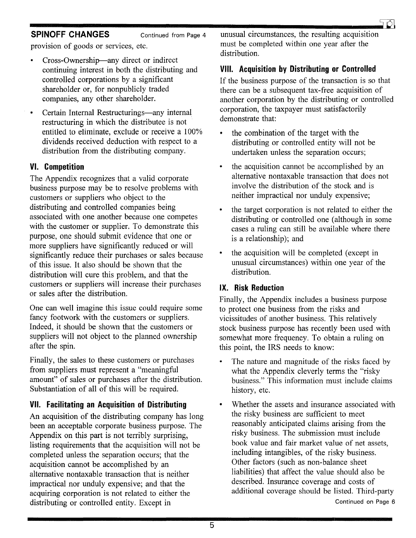

provision of goods or services, etc.

- Cross-Ownership-any direct or indirect continuing interest in both the distributing and controlled corporations by a significant shareholder or, for nonpublicly traded companies, any other shareholder.
- Certain Internal Restructurings-any internal  $\bullet$ restructuring in which the distributee is not entitled to eliminate, exclude or receive a 100% dividends received deduction with respect to a distribution from the distributing company.

#### **VI. Competition**

The Appendix recognizes that a valid corporate business purpose may be to resolve problems with customers or suppliers who object to the distributing and controlled companies being associated with one another because one competes with the customer or supplier. To demonstrate this purpose, one should submit evidence that one or more suppliers have significantly reduced or will significantly reduce their purchases or sales because of this issue. It also should be shown that the distribution will cure this problem, and that the customers or suppliers will increase their purchases or sales after the distribution.

One can well imagine this issue could require some fancy footwork with the customers or suppliers. Indeed, it should be shown that the customers or suppliers will not object to the planned ownership after the spin.

Finally, the sales to these customers or purchases from suppliers must represent a "meaningful amount" of sales or purchases after the distribution. Substantiation of all of this will be required.

### **VII. Facilitating an Acquisition of Distributing**

An acquisition of the distributing company has long been an acceptable corporate business purpose. The Appendix on this part is not terribly surprising, listing requirements that the acquisition will not be completed unless the separation occurs; that the acquisition cannot be accomplished by an alternative nontaxable transaction that is neither impractical nor unduly expensive; and that the acquiring corporation is not related to either the distributing or controlled entity. Except in

unusual circumstances, the resulting acquisition must be completed within one year after the distribution.

#### **VIII. Acquisition by Distributing or Controlled**

If the business purpose of the transaction is so that there can be a subsequent tax-free acquisition of another corporation by the distributing or controlled corporation, the taxpayer must satisfactorily demonstrate that:

- the combination of the target with the distributing or controlled entity will not be undertaken unless the separation occurs;
- the acquisition cannot be accomplished by an alternative nontaxable transaction that does not involve the distribution of the stock and is neither impractical nor unduly expensive;
- the target corporation is not related to either the distributing or controlled one (although in some cases a ruling can still be available where there is a relationship); and
- the acquisition will be completed (except in  $\bullet$ unusual circumstances) within one year of the distribution.

#### **IX. Risk Reduction**

Finally, the Appendix includes a business purpose to protect one business from the risks and vicissitudes of another business. This relatively stock business purpose has recently been used with somewhat more frequency. To obtain a ruling on this point, the IRS needs to know:

- $\bullet$ The nature and magnitude of the risks faced by what the Appendix cleverly terms the "risky business." This information must include claims history, etc.
- Whether the assets and insurance associated with the risky business are sufficient to meet reasonably anticipated claims arising from the risky business. The submission must include book value and fair market value of net assets, including intangibles, of the risky business. Other factors (such as non-balance sheet liabilities) that affect the value should also be described. Insurance coverage and costs of additional coverage should be listed. Third-party Continued on Page 6